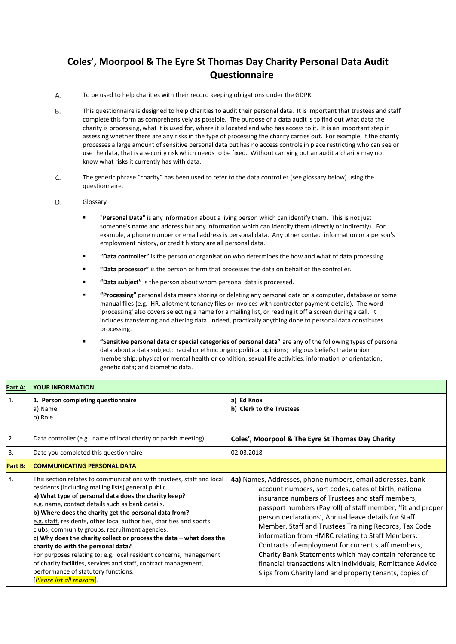## **Coles', Moorpool & The Eyre St Thomas Day Charity Personal Data Audit Questionnaire**

- А. To be used to help charities with their record keeping obligations under the GDPR.
- В. This questionnaire is designed to help charities to audit their personal data. It is important that trustees and staff complete this form as comprehensively as possible. The purpose of a data audit is to find out what data the charity is processing, what it is used for, where it is located and who has access to it. It is an important step in assessing whether there are any risks in the type of processing the charity carries out. For example, if the charity processes a large amount of sensitive personal data but has no access controls in place restricting who can see or use the data, that is a security risk which needs to be fixed. Without carrying out an audit a charity may not know what risks it currently has with data.
- C. The generic phrase "charity" has been used to refer to the data controller (see glossary below) using the questionnaire.
- D. Glossary
	- "Personal Data" is any information about a living person which can identify them. This is not just someone's name and address but any information which can identify them (directly or indirectly). For example, a phone number or email address is personal data. Any other contact information or a person's employment history, or credit history are all personal data.
	- **"Data controller"** is the person or organisation who determines the how and what of data processing.
	- "Data processor" is the person or firm that processes the data on behalf of the controller.
	- **"Data subject"** is the person about whom personal data is processed.
	- **"Processing"** personal data means storing or deleting any personal data on a computer, database or some manual files (e.g. HR, allotment tenancy files or invoices with contractor payment details). The word 'processing' also covers selecting a name for a mailing list, or reading it off a screen during a call. It includes transferring and altering data. Indeed, practically anything done to personal data constitutes processing.
	- **"Sensitive personal data or special categories of personal data"** are any of the following types of personal data about a data subject: racial or ethnic origin; political opinions; religious beliefs; trade union membership; physical or mental health or condition; sexual life activities, information or orientation; genetic data; and biometric data.

| Part A:          | <b>YOUR INFORMATION</b>                                                                                                                                                                                                                                                                                                                                                                                                                                                                                                                                                                                                                                                                                                                                |                                                                                                                                                                                                                                                                                                                                                                                                                                                                                                                                                                                                                                                      |  |
|------------------|--------------------------------------------------------------------------------------------------------------------------------------------------------------------------------------------------------------------------------------------------------------------------------------------------------------------------------------------------------------------------------------------------------------------------------------------------------------------------------------------------------------------------------------------------------------------------------------------------------------------------------------------------------------------------------------------------------------------------------------------------------|------------------------------------------------------------------------------------------------------------------------------------------------------------------------------------------------------------------------------------------------------------------------------------------------------------------------------------------------------------------------------------------------------------------------------------------------------------------------------------------------------------------------------------------------------------------------------------------------------------------------------------------------------|--|
| $\mathbf{1}$     | 1. Person completing questionnaire<br>a) Name.<br>b) Role.                                                                                                                                                                                                                                                                                                                                                                                                                                                                                                                                                                                                                                                                                             | a) Ed Knox<br>b) Clerk to the Trustees                                                                                                                                                                                                                                                                                                                                                                                                                                                                                                                                                                                                               |  |
| 2.               | Data controller (e.g. name of local charity or parish meeting)                                                                                                                                                                                                                                                                                                                                                                                                                                                                                                                                                                                                                                                                                         | Coles', Moorpool & The Eyre St Thomas Day Charity                                                                                                                                                                                                                                                                                                                                                                                                                                                                                                                                                                                                    |  |
| 3.               | Date you completed this questionnaire                                                                                                                                                                                                                                                                                                                                                                                                                                                                                                                                                                                                                                                                                                                  | 02.03.2018                                                                                                                                                                                                                                                                                                                                                                                                                                                                                                                                                                                                                                           |  |
| Part B:          | <b>COMMUNICATING PERSONAL DATA</b>                                                                                                                                                                                                                                                                                                                                                                                                                                                                                                                                                                                                                                                                                                                     |                                                                                                                                                                                                                                                                                                                                                                                                                                                                                                                                                                                                                                                      |  |
| $\overline{4}$ . | This section relates to communications with trustees, staff and local<br>residents (including mailing lists) general public.<br>a) What type of personal data does the charity keep?<br>e.g. name, contact details such as bank details.<br>b) Where does the charity get the personal data from?<br>e.g. staff, residents, other local authorities, charities and sports<br>clubs, community groups, recruitment agencies.<br>c) Why does the charity collect or process the data - what does the<br>charity do with the personal data?<br>For purposes relating to: e.g. local resident concerns, management<br>of charity facilities, services and staff, contract management,<br>performance of statutory functions.<br>[Please list all reasons]. | 4a) Names, Addresses, phone numbers, email addresses, bank<br>account numbers, sort codes, dates of birth, national<br>insurance numbers of Trustees and staff members,<br>passport numbers (Payroll) of staff member, 'fit and proper<br>person declarations', Annual leave details for Staff<br>Member, Staff and Trustees Training Records, Tax Code<br>information from HMRC relating to Staff Members,<br>Contracts of employment for current staff members,<br>Charity Bank Statements which may contain reference to<br>financial transactions with individuals, Remittance Advice<br>Slips from Charity land and property tenants, copies of |  |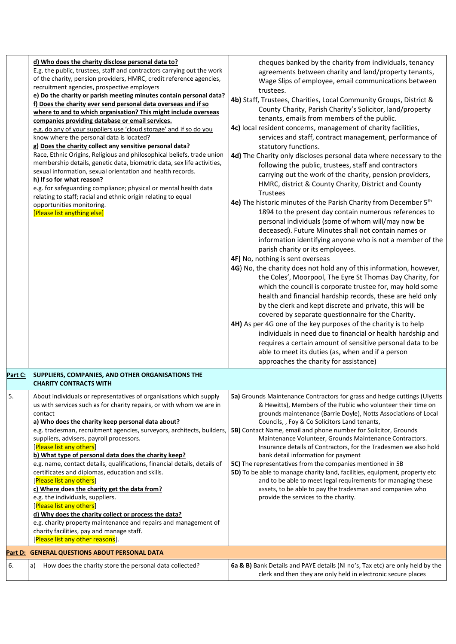|         | d) Who does the charity disclose personal data to?<br>E.g. the public, trustees, staff and contractors carrying out the work<br>of the charity, pension providers, HMRC, credit reference agencies,<br>recruitment agencies, prospective employers<br>e) Do the charity or parish meeting minutes contain personal data?<br>f) Does the charity ever send personal data overseas and if so<br>where to and to which organisation? This might include overseas<br>companies providing database or email services.<br>e.g. do any of your suppliers use 'cloud storage' and if so do you<br>know where the personal data is located?<br>g) Does the charity collect any sensitive personal data?<br>Race, Ethnic Origins, Religious and philosophical beliefs, trade union<br>membership details, genetic data, biometric data, sex life activities,<br>sexual information, sexual orientation and health records.<br>h) If so for what reason?<br>e.g. for safeguarding compliance; physical or mental health data<br>relating to staff; racial and ethnic origin relating to equal<br>opportunities monitoring.<br>[Please list anything else] | cheques banked by the charity from individuals, tenancy<br>agreements between charity and land/property tenants,<br>Wage Slips of employee, email communications between<br>trustees.<br>4b) Staff, Trustees, Charities, Local Community Groups, District &<br>County Charity, Parish Charity's Solicitor, land/property<br>tenants, emails from members of the public.<br>4c) local resident concerns, management of charity facilities,<br>services and staff, contract management, performance of<br>statutory functions.<br>4d) The Charity only discloses personal data where necessary to the<br>following the public, trustees, staff and contractors<br>carrying out the work of the charity, pension providers,<br>HMRC, district & County Charity, District and County<br>Trustees<br>4e) The historic minutes of the Parish Charity from December 5 <sup>th</sup><br>1894 to the present day contain numerous references to<br>personal individuals (some of whom will/may now be<br>deceased). Future Minutes shall not contain names or<br>information identifying anyone who is not a member of the<br>parish charity or its employees.<br>4F) No, nothing is sent overseas<br>4G) No, the charity does not hold any of this information, however,<br>the Coles', Moorpool, The Eyre St Thomas Day Charity, for<br>which the council is corporate trustee for, may hold some<br>health and financial hardship records, these are held only<br>by the clerk and kept discrete and private, this will be<br>covered by separate questionnaire for the Charity.<br>4H) As per 4G one of the key purposes of the charity is to help<br>individuals in need due to financial or health hardship and<br>requires a certain amount of sensitive personal data to be<br>able to meet its duties (as, when and if a person<br>approaches the charity for assistance) |
|---------|------------------------------------------------------------------------------------------------------------------------------------------------------------------------------------------------------------------------------------------------------------------------------------------------------------------------------------------------------------------------------------------------------------------------------------------------------------------------------------------------------------------------------------------------------------------------------------------------------------------------------------------------------------------------------------------------------------------------------------------------------------------------------------------------------------------------------------------------------------------------------------------------------------------------------------------------------------------------------------------------------------------------------------------------------------------------------------------------------------------------------------------------|---------------------------------------------------------------------------------------------------------------------------------------------------------------------------------------------------------------------------------------------------------------------------------------------------------------------------------------------------------------------------------------------------------------------------------------------------------------------------------------------------------------------------------------------------------------------------------------------------------------------------------------------------------------------------------------------------------------------------------------------------------------------------------------------------------------------------------------------------------------------------------------------------------------------------------------------------------------------------------------------------------------------------------------------------------------------------------------------------------------------------------------------------------------------------------------------------------------------------------------------------------------------------------------------------------------------------------------------------------------------------------------------------------------------------------------------------------------------------------------------------------------------------------------------------------------------------------------------------------------------------------------------------------------------------------------------------------------------------------------------------------------------------------------------------------------------------------------------------------------------------|
| Part C: | SUPPLIERS, COMPANIES, AND OTHER ORGANISATIONS THE<br><b>CHARITY CONTRACTS WITH</b>                                                                                                                                                                                                                                                                                                                                                                                                                                                                                                                                                                                                                                                                                                                                                                                                                                                                                                                                                                                                                                                             |                                                                                                                                                                                                                                                                                                                                                                                                                                                                                                                                                                                                                                                                                                                                                                                                                                                                                                                                                                                                                                                                                                                                                                                                                                                                                                                                                                                                                                                                                                                                                                                                                                                                                                                                                                                                                                                                           |
| 5.      | About individuals or representatives of organisations which supply<br>us with services such as for charity repairs, or with whom we are in<br>contact<br>a) Who does the charity keep personal data about?<br>e.g. tradesman, recruitment agencies, surveyors, architects, builders,<br>suppliers, advisers, payroll processors.<br>[Please list any others]<br>b) What type of personal data does the charity keep?<br>e.g. name, contact details, qualifications, financial details, details of<br>certificates and diplomas, education and skills.<br>[Please list any others]<br>c) Where does the charity get the data from?<br>e.g. the individuals, suppliers.<br>[Please list any others]<br>d) Why does the charity collect or process the data?<br>e.g. charity property maintenance and repairs and management of<br>charity facilities, pay and manage staff.<br>[Please list any other reasons].                                                                                                                                                                                                                                  | 5a) Grounds Maintenance Contractors for grass and hedge cuttings (Ulyetts<br>& Hewitts), Members of the Public who volunteer their time on<br>grounds maintenance (Barrie Doyle), Notts Associations of Local<br>Councils, , Foy & Co Solicitors Land tenants,<br><b>5B)</b> Contact Name, email and phone number for Solicitor, Grounds<br>Maintenance Volunteer, Grounds Maintenance Contractors.<br>Insurance details of Contractors, for the Tradesmen we also hold<br>bank detail information for payment<br>5C) The representatives from the companies mentioned in 5B<br>5D) To be able to manage charity land, facilities, equipment, property etc<br>and to be able to meet legal requirements for managing these<br>assets, to be able to pay the tradesman and companies who<br>provide the services to the charity.                                                                                                                                                                                                                                                                                                                                                                                                                                                                                                                                                                                                                                                                                                                                                                                                                                                                                                                                                                                                                                           |
|         | Part D: GENERAL QUESTIONS ABOUT PERSONAL DATA                                                                                                                                                                                                                                                                                                                                                                                                                                                                                                                                                                                                                                                                                                                                                                                                                                                                                                                                                                                                                                                                                                  |                                                                                                                                                                                                                                                                                                                                                                                                                                                                                                                                                                                                                                                                                                                                                                                                                                                                                                                                                                                                                                                                                                                                                                                                                                                                                                                                                                                                                                                                                                                                                                                                                                                                                                                                                                                                                                                                           |
| 6.      | How does the charity store the personal data collected?<br>a)                                                                                                                                                                                                                                                                                                                                                                                                                                                                                                                                                                                                                                                                                                                                                                                                                                                                                                                                                                                                                                                                                  | 6a & B) Bank Details and PAYE details (NI no's, Tax etc) are only held by the<br>clerk and then they are only held in electronic secure places                                                                                                                                                                                                                                                                                                                                                                                                                                                                                                                                                                                                                                                                                                                                                                                                                                                                                                                                                                                                                                                                                                                                                                                                                                                                                                                                                                                                                                                                                                                                                                                                                                                                                                                            |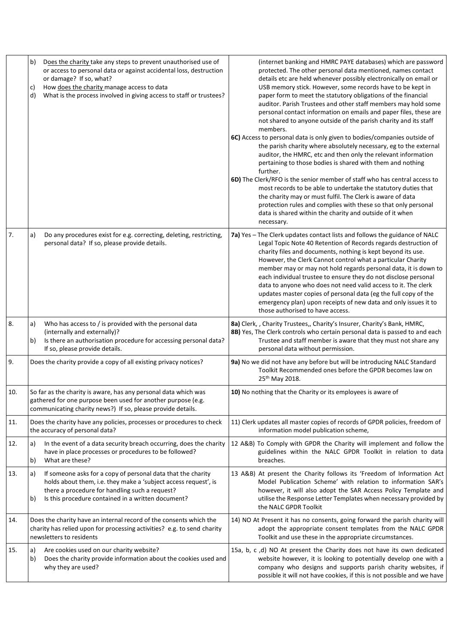|     | Does the charity take any steps to prevent unauthorised use of<br>b)<br>or access to personal data or against accidental loss, destruction<br>or damage? If so, what?<br>How does the charity manage access to data<br>C)<br>What is the process involved in giving access to staff or trustees?<br>d) | (internet banking and HMRC PAYE databases) which are password<br>protected. The other personal data mentioned, names contact<br>details etc are held whenever possibly electronically on email or<br>USB memory stick. However, some records have to be kept in<br>paper form to meet the statutory obligations of the financial<br>auditor. Parish Trustees and other staff members may hold some<br>personal contact information on emails and paper files, these are<br>not shared to anyone outside of the parish charity and its staff<br>members.<br>6C) Access to personal data is only given to bodies/companies outside of<br>the parish charity where absolutely necessary, eg to the external<br>auditor, the HMRC, etc and then only the relevant information<br>pertaining to those bodies is shared with them and nothing<br>further.<br>6D) The Clerk/RFO is the senior member of staff who has central access to<br>most records to be able to undertake the statutory duties that<br>the charity may or must fulfil. The Clerk is aware of data |
|-----|--------------------------------------------------------------------------------------------------------------------------------------------------------------------------------------------------------------------------------------------------------------------------------------------------------|------------------------------------------------------------------------------------------------------------------------------------------------------------------------------------------------------------------------------------------------------------------------------------------------------------------------------------------------------------------------------------------------------------------------------------------------------------------------------------------------------------------------------------------------------------------------------------------------------------------------------------------------------------------------------------------------------------------------------------------------------------------------------------------------------------------------------------------------------------------------------------------------------------------------------------------------------------------------------------------------------------------------------------------------------------------|
|     |                                                                                                                                                                                                                                                                                                        | protection rules and complies with these so that only personal<br>data is shared within the charity and outside of it when<br>necessary.                                                                                                                                                                                                                                                                                                                                                                                                                                                                                                                                                                                                                                                                                                                                                                                                                                                                                                                         |
| 7.  | Do any procedures exist for e.g. correcting, deleting, restricting,<br>a)<br>personal data? If so, please provide details.                                                                                                                                                                             | 7a) Yes - The Clerk updates contact lists and follows the guidance of NALC<br>Legal Topic Note 40 Retention of Records regards destruction of<br>charity files and documents, nothing is kept beyond its use.<br>However, the Clerk Cannot control what a particular Charity<br>member may or may not hold regards personal data, it is down to<br>each individual trustee to ensure they do not disclose personal<br>data to anyone who does not need valid access to it. The clerk<br>updates master copies of personal data (eg the full copy of the<br>emergency plan) upon receipts of new data and only issues it to<br>those authorised to have access.                                                                                                                                                                                                                                                                                                                                                                                                   |
| 8.  | Who has access to / is provided with the personal data<br>a)<br>(internally and externally)?<br>Is there an authorisation procedure for accessing personal data?<br>b)<br>If so, please provide details.                                                                                               | 8a) Clerk, , Charity Trustees,, Charity's Insurer, Charity's Bank, HMRC,<br>8B) Yes, The Clerk controls who certain personal data is passed to and each<br>Trustee and staff member is aware that they must not share any<br>personal data without permission.                                                                                                                                                                                                                                                                                                                                                                                                                                                                                                                                                                                                                                                                                                                                                                                                   |
| 9.  | Does the charity provide a copy of all existing privacy notices?                                                                                                                                                                                                                                       | 9a) No we did not have any before but will be introducing NALC Standard<br>Toolkit Recommended ones before the GPDR becomes law on<br>25th May 2018.                                                                                                                                                                                                                                                                                                                                                                                                                                                                                                                                                                                                                                                                                                                                                                                                                                                                                                             |
| 10. | So far as the charity is aware, has any personal data which was<br>gathered for one purpose been used for another purpose (e.g.<br>communicating charity news?) If so, please provide details.                                                                                                         | 10) No nothing that the Charity or its employees is aware of                                                                                                                                                                                                                                                                                                                                                                                                                                                                                                                                                                                                                                                                                                                                                                                                                                                                                                                                                                                                     |
| 11. | Does the charity have any policies, processes or procedures to check<br>the accuracy of personal data?                                                                                                                                                                                                 | 11) Clerk updates all master copies of records of GPDR policies, freedom of<br>information model publication scheme,                                                                                                                                                                                                                                                                                                                                                                                                                                                                                                                                                                                                                                                                                                                                                                                                                                                                                                                                             |
| 12. | In the event of a data security breach occurring, does the charity<br>a)<br>have in place processes or procedures to be followed?<br>What are these?<br>b)                                                                                                                                             | 12 A&B) To Comply with GPDR the Charity will implement and follow the<br>guidelines within the NALC GPDR Toolkit in relation to data<br>breaches.                                                                                                                                                                                                                                                                                                                                                                                                                                                                                                                                                                                                                                                                                                                                                                                                                                                                                                                |
| 13. | If someone asks for a copy of personal data that the charity<br>a)<br>holds about them, i.e. they make a 'subject access request', is<br>there a procedure for handling such a request?<br>Is this procedure contained in a written document?<br>b)                                                    | 13 A&B) At present the Charity follows its 'Freedom of Information Act<br>Model Publication Scheme' with relation to information SAR's<br>however, it will also adopt the SAR Access Policy Template and<br>utilise the Response Letter Templates when necessary provided by<br>the NALC GPDR Toolkit                                                                                                                                                                                                                                                                                                                                                                                                                                                                                                                                                                                                                                                                                                                                                            |
| 14. | Does the charity have an internal record of the consents which the<br>charity has relied upon for processing activities? e.g. to send charity<br>newsletters to residents                                                                                                                              | 14) NO At Present it has no consents, going forward the parish charity will<br>adopt the appropriate consent templates from the NALC GPDR<br>Toolkit and use these in the appropriate circumstances.                                                                                                                                                                                                                                                                                                                                                                                                                                                                                                                                                                                                                                                                                                                                                                                                                                                             |
| 15. | Are cookies used on our charity website?<br>a)<br>Does the charity provide information about the cookies used and<br>b)<br>why they are used?                                                                                                                                                          | 15a, b, c ,d) NO At present the Charity does not have its own dedicated<br>website however, it is looking to potentially develop one with a<br>company who designs and supports parish charity websites, if<br>possible it will not have cookies, if this is not possible and we have                                                                                                                                                                                                                                                                                                                                                                                                                                                                                                                                                                                                                                                                                                                                                                            |